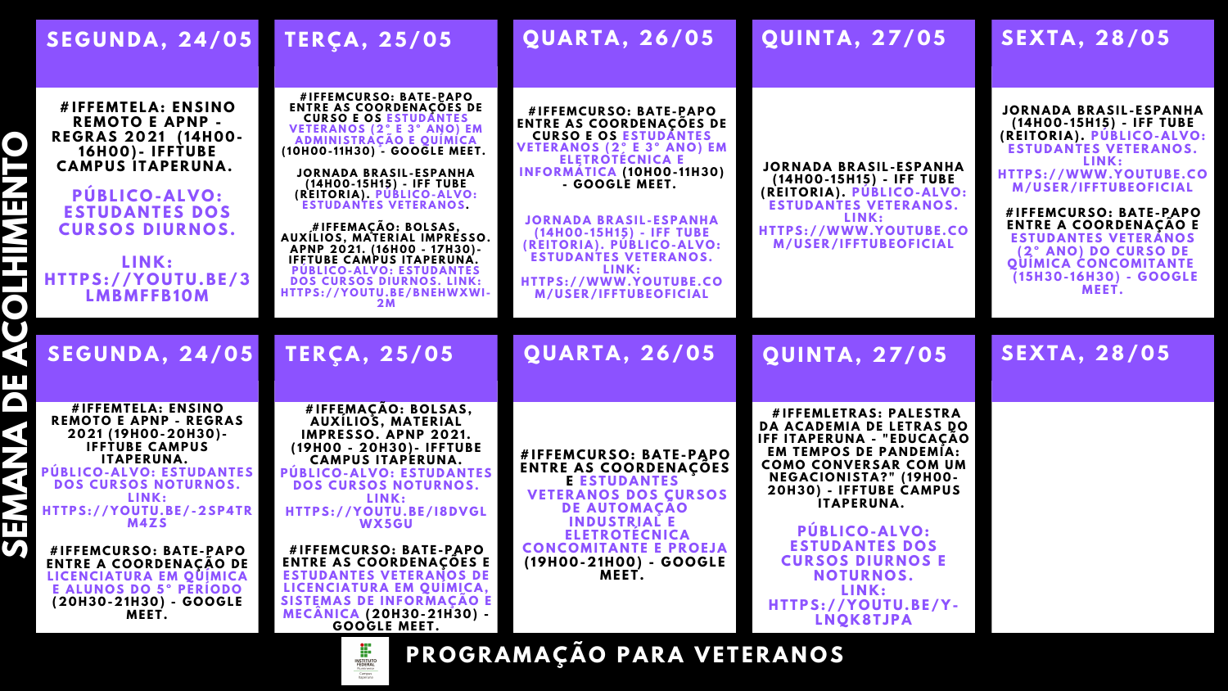**P Ú BL I C O - A L V O : ESTUDANTES DOS**  $CURSOSDUPNOS.$ 

### **SE X T A , 2 8/ 0 5**

## **SE X T A , 2 8/ 0 5**

### SEGUNDA, 24/05 TERÇA, 25/05 QUARTA, 26/05 QUINTA, 27/05

 **C A M P U S I T A PE R U N A . # I F F E M T E L A : E N SI N O R E M O T O E A P N P - R E G R A S 2 0 2 1 ( 14 H 0 0 - 16 H 0 0 ) - I F F T U BE**

 **H T TPS: / / Y O U T U .BE /3 L I N K : L M B M F FB1 0 M**

 **P Ú BL I C O - A L V O : EST U D A N T ES REMOTO E APNP - REGRAS # I F F E M T E L A : E N SI N O 2 0 2 1 ( 19 H 0 0 - 2 0 H 3 0 ) - I F F T U BE C A M P U S I T A PE R U N A . DOS CURSOS NOTURNOS. L I N K : H T TPS: / / Y O U T U .BE / - 2 SP4T R M 4 Z S**

 **E N T R E A C O O R D E N A Ç Ã O D E # I F F E M C U R S O : B A T E -P A P O LICENCIATURA EM OUIMICA E A L U N O S D O 5º PE R Í O D O ( 2 0 H 3 0 - 2 1 H 3 0 ) - G O O G L E M E E T .**

**J O R N A D A B R A SI L - ESP A N H A ( 14 H 0 0 - 15 H 15) - I F F T U BE ( R E I T O R I A ) . P Ú BL I C O - A L V O : ESTUDANTES VETERANOS.** 

**# I F F E M C U R S O : B A T E -P A P O ENTRE AS COORDENAÇOES DE CURSO E OS ESTUDANTES V E T E R A N O S ( 2 º E 3º A N O ) E M A D M I N IST R A Ç Ã O E Q U Í M I C A ( 1 0 H 0 0 - 1 1 H 3 0 ) - G O O G L E M E E T .**

**# I F F E M A Ç Ã O : B O LS A S, A U X Í L I O S, M A T E R I A L I M P R ESS O . A P N P 2 0 2 1 . ( 16 H 0 0 - 17 H 3 0 ) - IFFTUBE CAMPUS ITAPERUNA. PUBLICO-ALVO: ESTUDANTES DOS CURSOS DIURNOS. LINK: H T TPS: / / Y O U T U .BE /B N E HWXWI - 2 M**

**# I F F E M A Ç Ã O : B O LS A S, A UXÍ L I O S, M A T E R I A L IMPRESSO. APNP 2021. ( 19 H 0 0 - 2 0 H 3 0 ) - I F F T U BE**  $$ **P Ú BL I C O - A L V O : EST U D A N T ES DOS CURSOS NOTURNOS. L I N K : H T TPS: / / Y O U T U .BE / I8 D V G L WX5 G U**

**# I F F E M C U R S O : B A T E -P A P O ENTRE AS COORDENACOES E ESTUDANTES VETERANOS DE LICENCIATURA EM QUIMICA, SISTEMAS DE INFORMAÇÃO E M E C Â N I C A ( 2 0 H 3 0 - 2 1 H 3 0 ) - G O O G L E M E E T .**



**# I F F E M C U R S O : B A T E -P A P O E N T R E A S C O O R D E N A Ç Õ ES E** ESTUDANTES **VETERANOS DOS CURSOS**  $DE$  **AUTOMACAO I N D U ST R I A L E E L E T R O T É C N I C A C O N C O M I T A N T E E P R O E J A ( 19 H 0 0 - 2 1 H 0 0 ) - G O O G L E M E E T .**

**# I F F E M L E T R A S: P A L EST R A DA ACADEMIA DE LETRAS DO I F F I T A PE R U N A - " E D U C A Ç Ã O EM TEMPOS DE PANDEMIA:**  $COMO$  **CONVERSAR COM UM N E G A C I O N IST A ? " ( 19 H 0 0 - 2 0 H 3 0 ) - I F F T U BE C A M P U S I T A PE R U N A .**

**P Ú BL I C O - A L V O : ESTUDANTES DOS C U R S O S D I U R N O S E**  $N$  **NOTURNOS. L I N K : H T TPS: / / Y O U T U .BE / Y - L N Q K 8T JP A**

**P R O G R A M A Ç Ã O P A R A V E T E R A N O S**

**# I F F E M C U R S O : B A T E -P A P O ENTRE AS COORDENAÇOES DE CURSO E OS ESTUDANTES V E T E R A N O S ( 2 º E 3º A N O ) E M E L E T R O T É C N I C A E I N F O R M Á T I C A ( 1 0 H 0 0 - 1 1 H 3 0 ) - G O O G L E M E E T .**

**J O R N A D A B R A SI L - ESP A N H A ( 14 H 0 0 - 15 H 15) - I F F T U BE ( R E I T O R I A ) . P Ú BL I C O - A L V O : ESTUDANTES VETERANOS. L I N K : H T TPS: / /WWW. Y O U T U BE . C O M / U SE R / I F F T U BE O F I C I A L**

# U<br>SEGUNDA, 24/05 TERÇA, 25/05 QUARTA, 26/05 QUINTA, 27/05

**J O R N A D A B R A SI L - ESP A N H A ( 14 H 0 0 - 15 H 15) - I F F T U BE ( R E I T O R I A ) . P Ú BL I C O - A L V O : ESTUDANTES VETERANOS. L I N K : H T TPS: / /WWW. Y O U T U BE . C O M / U SE R / I F F T U BE O F I C I A L**

**J O R N A D A B R A SI L - ESP A N H A ( 14 H 0 0 - 15 H 15) - I F F T U BE ( R E I T O R I A ) . P Ú BL I C O - A L V O : ESTUDANTES VETERANOS. L I N K : H T TPS: / /WWW. Y O U T U BE . C O M / U SE R / I F F T U BE O F I C I A L**

**# I F F E M C U R S O : B A T E -P A P O ENTRE A COORDENAÇAO E ESTUDANTES VETERÁNOS ( 2 º A N O ) D O C U R S O D E OUIMICA CONCOMITANTE ( 15 H 3 0 - 16 H 3 0 ) - G O O G L E M E E T .**